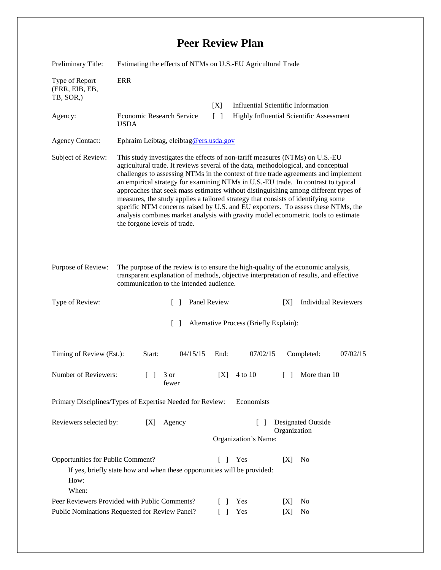## **Peer Review Plan**

| Preliminary Title:                                                                                                                                                                                                                           | Estimating the effects of NTMs on U.S.-EU Agricultural Trade                                                                                                                                                                                                                                                                                                                                                                                                                                                                                                                                                                                                                                                                        |                              |                                      |                                           |  |
|----------------------------------------------------------------------------------------------------------------------------------------------------------------------------------------------------------------------------------------------|-------------------------------------------------------------------------------------------------------------------------------------------------------------------------------------------------------------------------------------------------------------------------------------------------------------------------------------------------------------------------------------------------------------------------------------------------------------------------------------------------------------------------------------------------------------------------------------------------------------------------------------------------------------------------------------------------------------------------------------|------------------------------|--------------------------------------|-------------------------------------------|--|
| Type of Report<br>(ERR, EIB, EB,<br>TB, SOR,)                                                                                                                                                                                                | <b>ERR</b>                                                                                                                                                                                                                                                                                                                                                                                                                                                                                                                                                                                                                                                                                                                          |                              |                                      |                                           |  |
|                                                                                                                                                                                                                                              |                                                                                                                                                                                                                                                                                                                                                                                                                                                                                                                                                                                                                                                                                                                                     | [X]                          |                                      | <b>Influential Scientific Information</b> |  |
| Agency:                                                                                                                                                                                                                                      | Economic Research Service<br><b>USDA</b>                                                                                                                                                                                                                                                                                                                                                                                                                                                                                                                                                                                                                                                                                            | $\Box$                       |                                      | Highly Influential Scientific Assessment  |  |
| <b>Agency Contact:</b>                                                                                                                                                                                                                       | Ephraim Leibtag, eleibtag@ers.usda.gov                                                                                                                                                                                                                                                                                                                                                                                                                                                                                                                                                                                                                                                                                              |                              |                                      |                                           |  |
| Subject of Review:                                                                                                                                                                                                                           | This study investigates the effects of non-tariff measures (NTMs) on U.S.-EU<br>agricultural trade. It reviews several of the data, methodological, and conceptual<br>challenges to assessing NTMs in the context of free trade agreements and implement<br>an empirical strategy for examining NTMs in U.S.-EU trade. In contrast to typical<br>approaches that seek mass estimates without distinguishing among different types of<br>measures, the study applies a tailored strategy that consists of identifying some<br>specific NTM concerns raised by U.S. and EU exporters. To assess these NTMs, the<br>analysis combines market analysis with gravity model econometric tools to estimate<br>the forgone levels of trade. |                              |                                      |                                           |  |
| Purpose of Review:<br>The purpose of the review is to ensure the high-quality of the economic analysis,<br>transparent explanation of methods, objective interpretation of results, and effective<br>communication to the intended audience. |                                                                                                                                                                                                                                                                                                                                                                                                                                                                                                                                                                                                                                                                                                                                     |                              |                                      |                                           |  |
| Type of Review:                                                                                                                                                                                                                              | $\Box$                                                                                                                                                                                                                                                                                                                                                                                                                                                                                                                                                                                                                                                                                                                              | Panel Review                 |                                      | <b>Individual Reviewers</b><br>[X]        |  |
| Alternative Process (Briefly Explain):<br>$\Box$                                                                                                                                                                                             |                                                                                                                                                                                                                                                                                                                                                                                                                                                                                                                                                                                                                                                                                                                                     |                              |                                      |                                           |  |
| Timing of Review (Est.):                                                                                                                                                                                                                     | Start:<br>04/15/15                                                                                                                                                                                                                                                                                                                                                                                                                                                                                                                                                                                                                                                                                                                  | End:                         | 07/02/15                             | Completed:<br>07/02/15                    |  |
| Number of Reviewers:                                                                                                                                                                                                                         | $\begin{bmatrix} 1 & 3 \end{bmatrix}$<br>fewer                                                                                                                                                                                                                                                                                                                                                                                                                                                                                                                                                                                                                                                                                      | [X]                          | 4 to 10                              | More than 10<br>$\Box$                    |  |
| Primary Disciplines/Types of Expertise Needed for Review:<br>Economists                                                                                                                                                                      |                                                                                                                                                                                                                                                                                                                                                                                                                                                                                                                                                                                                                                                                                                                                     |                              |                                      |                                           |  |
| Reviewers selected by:                                                                                                                                                                                                                       | [X]<br>Agency                                                                                                                                                                                                                                                                                                                                                                                                                                                                                                                                                                                                                                                                                                                       |                              | $\mathsf{L}$<br>Organization's Name: | <b>Designated Outside</b><br>Organization |  |
| Opportunities for Public Comment?<br>How:<br>When:                                                                                                                                                                                           | If yes, briefly state how and when these opportunities will be provided:                                                                                                                                                                                                                                                                                                                                                                                                                                                                                                                                                                                                                                                            | $\mathbf{L}$<br>$\mathbf{I}$ | Yes                                  | [X]<br>N <sub>0</sub>                     |  |
| Peer Reviewers Provided with Public Comments?                                                                                                                                                                                                |                                                                                                                                                                                                                                                                                                                                                                                                                                                                                                                                                                                                                                                                                                                                     |                              | Yes<br>$\Box$                        | No<br>[X]                                 |  |
| Public Nominations Requested for Review Panel?                                                                                                                                                                                               |                                                                                                                                                                                                                                                                                                                                                                                                                                                                                                                                                                                                                                                                                                                                     | $\mathbf{L}$                 | Yes                                  | [X]<br>No                                 |  |